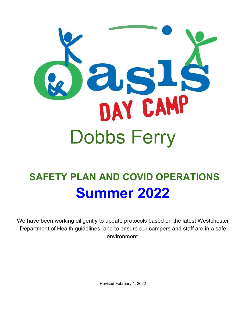

# **SAFETY PLAN AND COVID OPERATIONS Summer 2022**

We have been working diligently to update protocols based on the latest Westchester Department of Health guidelines, and to ensure our campers and staff are in a safe environment.

Revised February 1, 2022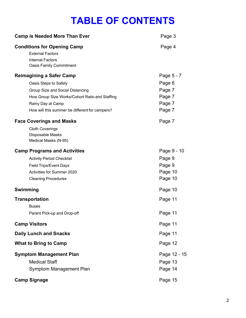## **TABLE OF CONTENTS**

| <b>Camp is Needed More Than Ever</b>                                                                                                                                                                                                                                                                                           | Page 3                                                                 |
|--------------------------------------------------------------------------------------------------------------------------------------------------------------------------------------------------------------------------------------------------------------------------------------------------------------------------------|------------------------------------------------------------------------|
| <b>Conditions for Opening Camp</b><br><b>External Factors</b><br><b>Internal Factors</b><br><b>Oasis Family Commitment</b>                                                                                                                                                                                                     | Page 4                                                                 |
| <b>Reimagining a Safer Camp</b><br>Oasis Steps to Safety<br>Group Size and Social Distancing<br>How Group Size Works/Cohort Ratio and Staffing<br>Rainy Day at Camp<br>How will this summer be different for campers?<br><b>Face Coverings and Masks</b><br><b>Cloth Coverings</b><br>Disposable Masks<br>Medical Masks (N-95) | Page 5 - 7<br>Page 6<br>Page 7<br>Page 7<br>Page 7<br>Page 7<br>Page 7 |
| <b>Camp Programs and Activities</b><br><b>Activity Period Checklist</b><br><b>Field Trips/Event Days</b><br>Activities for Summer 2020<br><b>Cleaning Procedures</b>                                                                                                                                                           | Page 9 - 10<br>Page 9<br>Page 9<br>Page 10<br>Page 10                  |
| <b>Swimming</b>                                                                                                                                                                                                                                                                                                                | Page 10                                                                |
| <b>Transportation</b><br><b>Buses</b><br>Parent Pick-up and Drop-off                                                                                                                                                                                                                                                           | Page 11<br>Page 11                                                     |
| <b>Camp Visitors</b>                                                                                                                                                                                                                                                                                                           | Page 11                                                                |
| <b>Daily Lunch and Snacks</b>                                                                                                                                                                                                                                                                                                  | Page 11                                                                |
| <b>What to Bring to Camp</b>                                                                                                                                                                                                                                                                                                   | Page 12                                                                |
| <b>Symptom Management Plan</b><br><b>Medical Staff</b><br>Symptom Management Plan                                                                                                                                                                                                                                              | Page 12 - 15<br>Page 13<br>Page 14                                     |
| <b>Camp Signage</b>                                                                                                                                                                                                                                                                                                            | Page 15                                                                |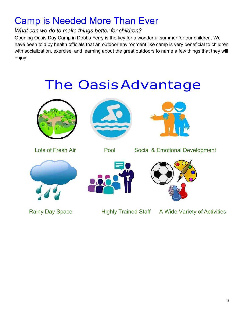## Camp is Needed More Than Ever

### *What can we do to make things better for children?*

Opening Oasis Day Camp in Dobbs Ferry is the key for a wonderful summer for our children. We have been told by health officials that an outdoor environment like camp is very beneficial to children with socialization, exercise, and learning about the great outdoors to name a few things that they will enjoy.

# The OasisAdvantage







Lots of Fresh Air **Pool** Social & Emotional Development







Rainy Day Space **Highly Trained Staff** A Wide Variety of Activities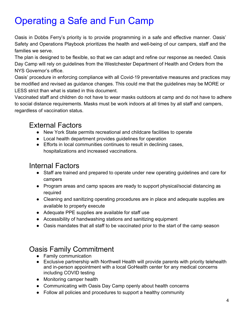## Operating a Safe and Fun Camp

Oasis in Dobbs Ferry's priority is to provide programming in a safe and effective manner. Oasis' Safety and Operations Playbook prioritizes the health and well-being of our campers, staff and the families we serve.

The plan is designed to be flexible, so that we can adapt and refine our response as needed. Oasis Day Camp will rely on guidelines from the Westchester Department of Health and Orders from the NYS Governor's office.

Oasis' procedure in enforcing compliance with all Covid-19 preventative measures and practices may be modified and revised as guidance changes. This could me that the guidelines may be MORE or LESS strict than what is stated in this document.

Vaccinated staff and children do not have to wear masks outdoors at camp and do not have to adhere to social distance requirements. Masks must be work indoors at all times by all staff and campers, regardless of vaccination status.

### External Factors

- New York State permits recreational and childcare facilities to operate
- Local health department provides guidelines for operation
- Efforts in local communities continues to result in declining cases, hospitalizations and increased vaccinations.

### Internal Factors

- Staff are trained and prepared to operate under new operating guidelines and care for campers
- Program areas and camp spaces are ready to support physical/social distancing as required
- Cleaning and sanitizing operating procedures are in place and adequate supplies are available to properly execute
- Adequate PPE supplies are available for staff use
- Accessibility of handwashing stations and sanitizing equipment
- Oasis mandates that all staff to be vaccinated prior to the start of the camp season

## Oasis Family Commitment

- Family communication
- Exclusive partnership with Northwell Health will provide parents with priority telehealth and in-person appointment with a local GoHealth center for any medical concerns including COVID testing
- Monitoring camper health
- Communicating with Oasis Day Camp openly about health concerns
- Follow all policies and procedures to support a healthy community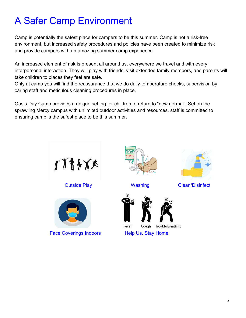## A Safer Camp Environment

Camp is potentially the safest place for campers to be this summer. Camp is not a risk-free environment, but increased safety procedures and policies have been created to minimize risk and provide campers with an amazing summer camp experience.

An increased element of risk is present all around us, everywhere we travel and with every interpersonal interaction. They will play with friends, visit extended family members, and parents will take children to places they feel are safe.

Only at camp you will find the reassurance that we do daily temperature checks, supervision by caring staff and meticulous cleaning procedures in place.

Oasis Day Camp provides a unique setting for children to return to "new normal". Set on the sprawling Mercy campus with unlimited outdoor activities and resources, staff is committed to ensuring camp is the safest place to be this summer.





Face Coverings Indoors Help Us, Stay Home









**Outside Play Clean/Disinfect** Washing Clean/Disinfect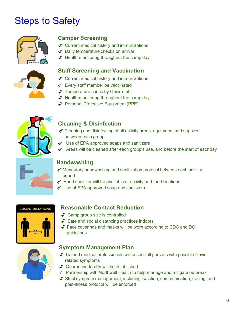## Steps to Safety



### **Camper Screening**

- ✓ Current medical history and immunizations
- ✓ Daily temperature checks on arrival
- ✓ Health monitoring throughout the camp day

### **Staff Screening and Vaccination**



- ✓ Current medical history and immunizations
- ✓ Every staff member be vaccinated
- ✓ Temperature check by Oasis staff
- ✓ Health monitoring throughout the camp day
- ✓ Personal Protective Equipment (PPE)



### **Cleaning & Disinfection**

- $\mathscr I$  Cleaning and disinfecting of all activity areas, equipment and supplies between each group
- ✓ Use of EPA approved soaps and sanitizers
- $\mathscr I$  Areas will be cleaned after each group's use, and before the start of eachday



### **Handwashing**

- ✓ Mandatory handwashing and sanitization protocol between each activity period
- ✓ Hand sanitizer will be available at activity and food locations
- ✓ Use of EPA approved soap and sanitizers

#### SOCIAL DISTANCING



#### **Reasonable Contact Reduction**

- ✓ Camp group size is controlled
- ✓ Safe and social distancing practices indoors
- ✓ Face coverings and masks will be worn according to CDC and DOH guidelines



#### **Symptom Management Plan**

- ✓ Trained medical professionals will assess all persons with possible Covid related symptoms
- ✓ Quarantine facility will be established
- ✓ Partnership with Northwell Health to help manage and mitigate outbreak
- ✓ Strict symptom management, including isolation, communication, tracing, and post-illness protocol will be enforced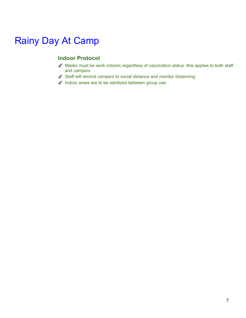## Rainy Day At Camp

### **Indoor Protocol**

- ✓ Masks must be work indoors regardless of vaccination status -this applies to both staff and campers
- ✓ Staff will remind campers to social distance and monitor distancing
- ✓ Indoor areas are to be sanitized between group use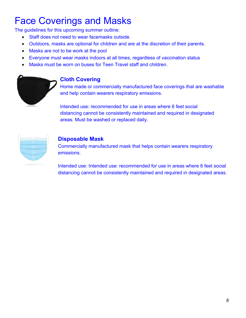## Face Coverings and Masks

The guidelines for this upcoming summer outline:

- Staff does not need to wear facemasks outside.
- Outdoors, masks are optional for children and are at the discretion of their parents.
- Masks are not to be work at the pool
- Everyone must wear masks indoors at all times, regardless of vaccination status
- Masks must be worn on buses for Teen Travel staff and children.



### **Cloth Covering**

Home made or commercially manufactured face coverings that are washable and help contain wearers respiratory emissions.

Intended use: recommended for use in areas where 6 feet social distancing cannot be consistently maintained and required in designated areas. Must be washed or replaced daily.



### **Disposable Mask**

Commercially manufactured mask that helps contain wearers respiratory emissions.

Intended use: Intended use: recommended for use in areas where 6 feet social distancing cannot be consistently maintained and required in designated areas.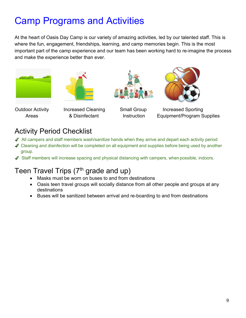## Camp Programs and Activities

At the heart of Oasis Day Camp is our variety of amazing activities, led by our talented staff. This is where the fun, engagement, friendships, learning, and camp memories begin. This is the most important part of the camp experience and our team has been working hard to re-imagine the process and make the experience better than ever.









Outdoor Activity Increased Cleaning Small Group Increased Sporting Areas **8. Disinfectant** Instruction Equipment/Program Supplies

### Activity Period Checklist

- ✓ All campers and staff members wash/sanitize hands when they arrive and depart each activity period
- ◆ Cleaning and disinfection will be completed on all equipment and supplies before being used by another group.
- ✓ Staff members will increase spacing and physical distancing with campers, when possible, indoors.

## Teen Travel Trips  $(7<sup>th</sup>$  grade and up)

- Masks must be worn on buses to and from destinations
- Oasis teen travel groups will socially distance from all other people and groups at any destinations
- Buses will be sanitized between arrival and re-boarding to and from destinations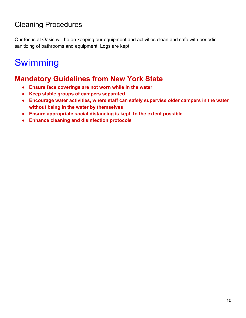## Cleaning Procedures

Our focus at Oasis will be on keeping our equipment and activities clean and safe with periodic sanitizing of bathrooms and equipment. Logs are kept.

## Swimming

### **Mandatory Guidelines from New York State**

- **● Ensure face coverings are not worn while in the water**
- **● Keep stable groups of campers separated**
- **● Encourage water activities, where staff can safely supervise older campers in the water without being in the water by themselves**
- **● Ensure appropriate social distancing is kept, to the extent possible**
- **● Enhance cleaning and disinfection protocols**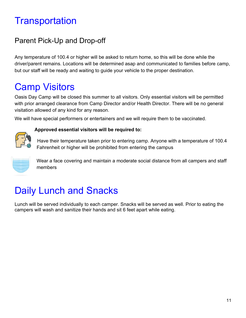## **Transportation**

## Parent Pick-Up and Drop-off

Any temperature of 100.4 or higher will be asked to return home, so this will be done while the driver/parent remains. Locations will be determined asap and communicated to families before camp, but our staff will be ready and waiting to guide your vehicle to the proper destination.

## Camp Visitors

Oasis Day Camp will be closed this summer to all visitors. Only essential visitors will be permitted with prior arranged clearance from Camp Director and/or Health Director. There will be no general visitation allowed of any kind for any reason.

We will have special performers or entertainers and we will require them to be vaccinated.



#### **Approved essential visitors will be required to:**

Have their temperature taken prior to entering camp. Anyone with a temperature of 100.4 Fahrenheit or higher will be prohibited from entering the campus



Wear a face covering and maintain a moderate social distance from all campers and staff members

## Daily Lunch and Snacks

Lunch will be served individually to each camper. Snacks will be served as well. Prior to eating the campers will wash and sanitize their hands and sit 6 feet apart while eating.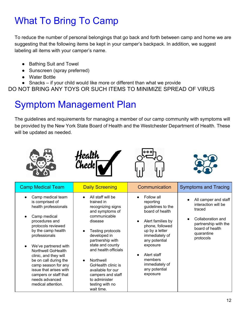## What To Bring To Camp

To reduce the number of personal belongings that go back and forth between camp and home we are suggesting that the following items be kept in your camper's backpack. In addition, we suggest labeling all items with your camper's name.

- Bathing Suit and Towel
- Sunscreen (spray preferred)
- Water Bottle
- Snacks if your child would like more or different than what we provide

DO NOT BRING ANY TOYS OR SUCH ITEMS TO MINIMIZE SPREAD OF VIRUS

## Symptom Management Plan

The guidelines and requirements for managing a member of our camp community with symptoms will be provided by the New York State Board of Health and the Westchester Department of Health. These will be updated as needed.

| <b>Camp Medical Team</b>                                                                                                                                                                                                                                                                                                                                                             | <b>Daily Screening</b>                                                                                                                                                                                                                                                                                                                 | Communication                                                                                                                                                                                                                                     | <b>Symptoms and Tracing</b>                                                                                                                      |
|--------------------------------------------------------------------------------------------------------------------------------------------------------------------------------------------------------------------------------------------------------------------------------------------------------------------------------------------------------------------------------------|----------------------------------------------------------------------------------------------------------------------------------------------------------------------------------------------------------------------------------------------------------------------------------------------------------------------------------------|---------------------------------------------------------------------------------------------------------------------------------------------------------------------------------------------------------------------------------------------------|--------------------------------------------------------------------------------------------------------------------------------------------------|
| Camp medical team<br>is comprised of<br>health professionals<br>Camp medical<br>procedures and<br>protocols reviewed<br>by the camp health<br>professionals<br>We've partnered with<br><b>Northwell GoHealth</b><br>clinic, and they will<br>be on call during the<br>camp season for any<br>issue that arises with<br>campers or staff that<br>needs advanced<br>medical attention. | All staff will be<br>trained in<br>recognizing signs<br>and symptoms of<br>communicable<br>disease<br>Testing protocols<br>developed in<br>partnership with<br>state and county<br>and health officials<br>Northwell<br>GoHealth clinic is<br>available for our<br>campers and staff<br>to administer<br>testing with no<br>wait time. | Follow all<br>reporting<br>guidelines to the<br>board of health<br>Alert families by<br>phone, followed<br>up by a letter<br>immediately of<br>any potential<br>exposure<br>Alert staff<br>members<br>immediately of<br>any potential<br>exposure | All camper and staff<br>interaction will be<br>traced<br>Collaboration and<br>partnership with the<br>board of health<br>quarantine<br>protocols |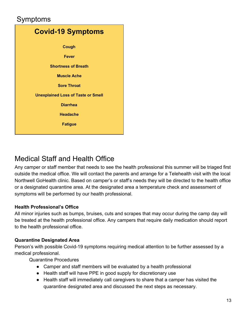### Symptoms



### Medical Staff and Health Office

Any camper or staff member that needs to see the health professional this summer will be triaged first outside the medical office. We will contact the parents and arrange for a Telehealth visit with the local Northwell GoHealth clinic. Based on camper's or staff's needs they will be directed to the health office or a designated quarantine area. At the designated area a temperature check and assessment of symptoms will be performed by our health professional.

#### **Health Professional's Office**

All minor injuries such as bumps, bruises, cuts and scrapes that may occur during the camp day will be treated at the health professional office. Any campers that require daily medication should report to the health professional office.

#### **Quarantine Designated Area**

Person's with possible Covid-19 symptoms requiring medical attention to be further assessed by a medical professional.

Quarantine Procedures

- Camper and staff members will be evaluated by a health professional
- Health staff will have PPE in good supply for discretionary use
- Health staff will immediately call caregivers to share that a camper has visited the quarantine designated area and discussed the next steps as necessary.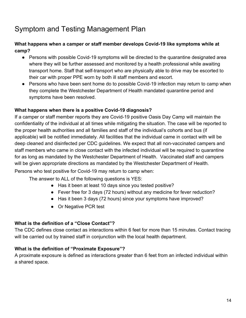## Symptom and Testing Management Plan

#### **What happens when a camper or staff member develops Covid-19 like symptoms while at camp?**

- Persons with possible Covid-19 symptoms will be directed to the quarantine designated area where they will be further assessed and monitored by a health professional while awaiting transport home. Staff that self-transport who are physically able to drive may be escorted to their car with proper PPE worn by both ill staff members and escort.
- Persons who have been sent home do to possible Covid-19 infection may return to camp when they complete the Westchester Department of Health mandated quarantine period and symptoms have been resolved.

#### **What happens when there is a positive Covid-19 diagnosis?**

If a camper or staff member reports they are Covid-19 positive Oasis Day Camp will maintain the confidentiality of the individual at all times while mitigating the situation. The case will be reported to the proper health authorities and all families and staff of the individual's cohorts and bus (if applicable) will be notified immediately. All facilities that the individual came in contact with will be deep cleaned and disinfected per CDC guidelines. We expect that all non-vaccinated campers and staff members who came in close contact with the infected individual will be required to quarantine for as long as mandated by the Westchester Department of Health. Vaccinated staff and campers will be given appropriate directions as mandated by the Westchester Department of Health.

Persons who test positive for Covid-19 may return to camp when:

The answer to ALL of the following questions is YES:

- Has it been at least 10 days since you tested positive?
- Fever free for 3 days (72 hours) without any medicine for fever reduction?
- Has it been 3 days (72 hours) since your symptoms have improved?
- Or Negative PCR test

#### **What is the definition of a "Close Contact"?**

The CDC defines close contact as interactions within 6 feet for more than 15 minutes. Contact tracing will be carried out by trained staff in conjunction with the local health department.

#### **What is the definition of "Proximate Exposure"?**

A proximate exposure is defined as interactions greater than 6 feet from an infected individual within a shared space.